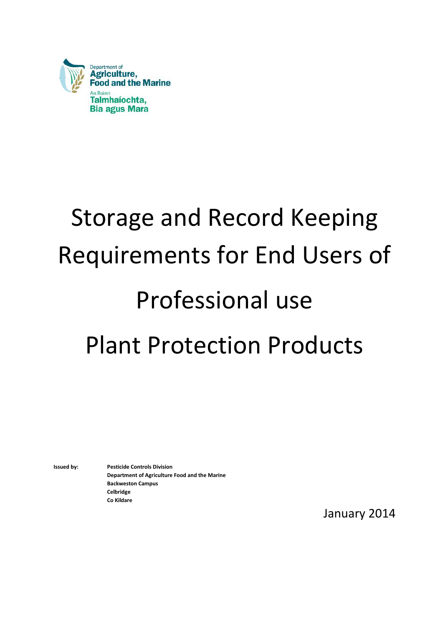

# Storage and Record Keeping Requirements for End Users of Professional use Plant Protection Products

**Issued by: Pesticide Controls Division Department of Agriculture Food and the Marine Backweston Campus Celbridge Co Kildare**

January 2014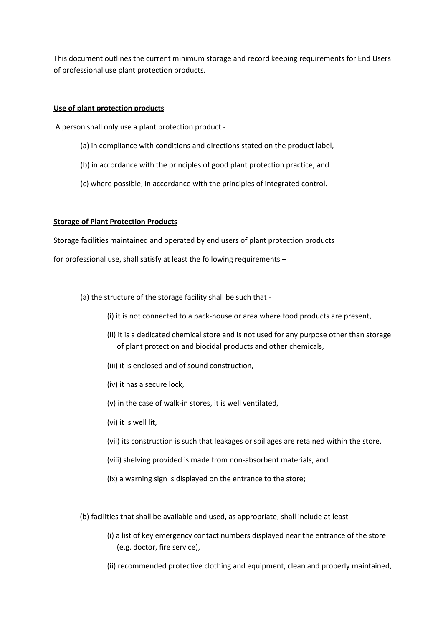This document outlines the current minimum storage and record keeping requirements for End Users of professional use plant protection products.

#### **Use of plant protection products**

A person shall only use a plant protection product -

- (a) in compliance with conditions and directions stated on the product label,
- (b) in accordance with the principles of good plant protection practice, and
- (c) where possible, in accordance with the principles of integrated control.

#### **Storage of Plant Protection Products**

Storage facilities maintained and operated by end users of plant protection products

for professional use, shall satisfy at least the following requirements –

(a) the structure of the storage facility shall be such that -

- (i) it is not connected to a pack-house or area where food products are present,
- (ii) it is a dedicated chemical store and is not used for any purpose other than storage of plant protection and biocidal products and other chemicals,
- (iii) it is enclosed and of sound construction,
- (iv) it has a secure lock,
- (v) in the case of walk-in stores, it is well ventilated,
- (vi) it is well lit,
- (vii) its construction is such that leakages or spillages are retained within the store,
- (viii) shelving provided is made from non-absorbent materials, and
- (ix) a warning sign is displayed on the entrance to the store;
- (b) facilities that shall be available and used, as appropriate, shall include at least
	- (i) a list of key emergency contact numbers displayed near the entrance of the store (e.g. doctor, fire service),
	- (ii) recommended protective clothing and equipment, clean and properly maintained,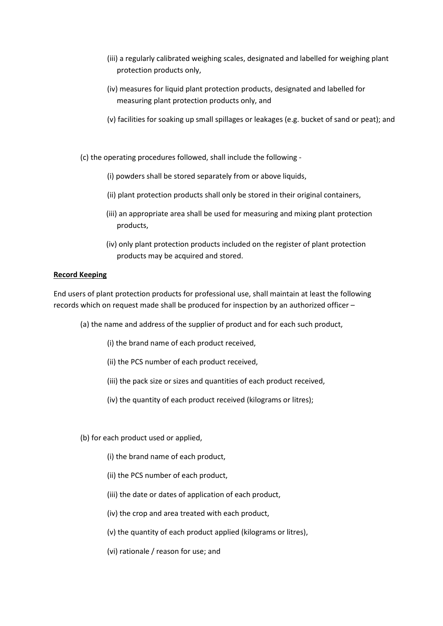- (iii) a regularly calibrated weighing scales, designated and labelled for weighing plant protection products only,
- (iv) measures for liquid plant protection products, designated and labelled for measuring plant protection products only, and
- (v) facilities for soaking up small spillages or leakages (e.g. bucket of sand or peat); and

(c) the operating procedures followed, shall include the following -

- (i) powders shall be stored separately from or above liquids,
- (ii) plant protection products shall only be stored in their original containers,
- (iii) an appropriate area shall be used for measuring and mixing plant protection products,
- (iv) only plant protection products included on the register of plant protection products may be acquired and stored.

#### **Record Keeping**

End users of plant protection products for professional use, shall maintain at least the following records which on request made shall be produced for inspection by an authorized officer –

- (a) the name and address of the supplier of product and for each such product,
	- (i) the brand name of each product received,
	- (ii) the PCS number of each product received,
	- (iii) the pack size or sizes and quantities of each product received,
	- (iv) the quantity of each product received (kilograms or litres);
- (b) for each product used or applied,
	- (i) the brand name of each product,
	- (ii) the PCS number of each product,
	- (iii) the date or dates of application of each product,
	- (iv) the crop and area treated with each product,
	- (v) the quantity of each product applied (kilograms or litres),
	- (vi) rationale / reason for use; and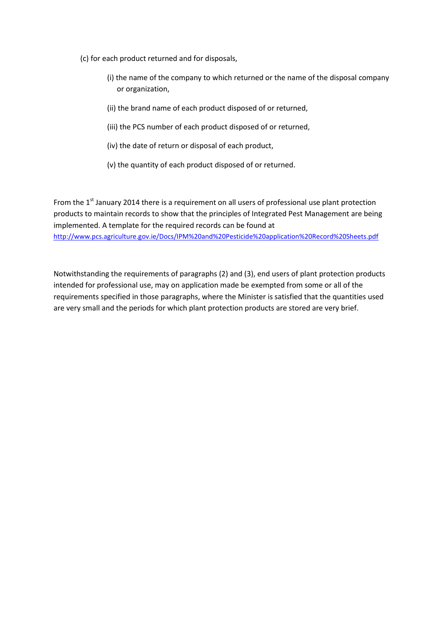- (c) for each product returned and for disposals,
	- (i) the name of the company to which returned or the name of the disposal company or organization,
	- (ii) the brand name of each product disposed of or returned,
	- (iii) the PCS number of each product disposed of or returned,
	- (iv) the date of return or disposal of each product,
	- (v) the quantity of each product disposed of or returned.

From the  $1<sup>st</sup>$  January 2014 there is a requirement on all users of professional use plant protection products to maintain records to show that the principles of Integrated Pest Management are being implemented. A template for the required records can be found at <http://www.pcs.agriculture.gov.ie/Docs/IPM%20and%20Pesticide%20application%20Record%20Sheets.pdf>

Notwithstanding the requirements of paragraphs (2) and (3), end users of plant protection products intended for professional use, may on application made be exempted from some or all of the requirements specified in those paragraphs, where the Minister is satisfied that the quantities used are very small and the periods for which plant protection products are stored are very brief.